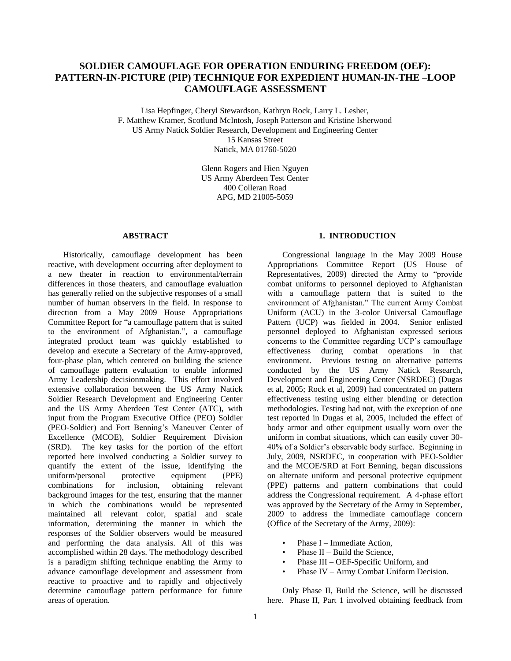# **SOLDIER CAMOUFLAGE FOR OPERATION ENDURING FREEDOM (OEF): PATTERN-IN-PICTURE (PIP) TECHNIQUE FOR EXPEDIENT HUMAN-IN-THE –LOOP CAMOUFLAGE ASSESSMENT**

Lisa Hepfinger, Cheryl Stewardson, Kathryn Rock, Larry L. Lesher, F. Matthew Kramer, Scotlund McIntosh, Joseph Patterson and Kristine Isherwood US Army Natick Soldier Research, Development and Engineering Center 15 Kansas Street

Natick, MA 01760-5020

Glenn Rogers and Hien Nguyen US Army Aberdeen Test Center 400 Colleran Road APG, MD 21005-5059

#### **ABSTRACT**

Historically, camouflage development has been reactive, with development occurring after deployment to a new theater in reaction to environmental/terrain differences in those theaters, and camouflage evaluation has generally relied on the subjective responses of a small number of human observers in the field. In response to direction from a May 2009 House Appropriations Committee Report for "a camouflage pattern that is suited to the environment of Afghanistan.", a camouflage integrated product team was quickly established to develop and execute a Secretary of the Army-approved, four-phase plan, which centered on building the science of camouflage pattern evaluation to enable informed Army Leadership decisionmaking. This effort involved extensive collaboration between the US Army Natick Soldier Research Development and Engineering Center and the US Army Aberdeen Test Center (ATC), with input from the Program Executive Office (PEO) Soldier (PEO-Soldier) and Fort Benning"s Maneuver Center of Excellence (MCOE), Soldier Requirement Division (SRD). The key tasks for the portion of the effort reported here involved conducting a Soldier survey to quantify the extent of the issue, identifying the uniform/personal protective equipment (PPE) combinations for inclusion, obtaining relevant background images for the test, ensuring that the manner in which the combinations would be represented maintained all relevant color, spatial and scale information, determining the manner in which the responses of the Soldier observers would be measured and performing the data analysis. All of this was accomplished within 28 days. The methodology described is a paradigm shifting technique enabling the Army to advance camouflage development and assessment from reactive to proactive and to rapidly and objectively determine camouflage pattern performance for future areas of operation.

#### **1. INTRODUCTION**

Congressional language in the May 2009 House Appropriations Committee Report (US House of Representatives, 2009) directed the Army to "provide combat uniforms to personnel deployed to Afghanistan with a camouflage pattern that is suited to the environment of Afghanistan." The current Army Combat Uniform (ACU) in the 3-color Universal Camouflage Pattern (UCP) was fielded in 2004. Senior enlisted personnel deployed to Afghanistan expressed serious concerns to the Committee regarding UCP"s camouflage effectiveness during combat operations in that environment. Previous testing on alternative patterns conducted by the US Army Natick Research, Development and Engineering Center (NSRDEC) (Dugas et al, 2005; Rock et al, 2009) had concentrated on pattern effectiveness testing using either blending or detection methodologies. Testing had not, with the exception of one test reported in Dugas et al, 2005, included the effect of body armor and other equipment usually worn over the uniform in combat situations, which can easily cover 30- 40% of a Soldier"s observable body surface. Beginning in July, 2009, NSRDEC, in cooperation with PEO-Soldier and the MCOE/SRD at Fort Benning, began discussions on alternate uniform and personal protective equipment (PPE) patterns and pattern combinations that could address the Congressional requirement. A 4-phase effort was approved by the Secretary of the Army in September, 2009 to address the immediate camouflage concern (Office of the Secretary of the Army, 2009):

- Phase I Immediate Action,
- Phase II Build the Science,
- Phase III OEF-Specific Uniform, and
- Phase IV Army Combat Uniform Decision.

Only Phase II, Build the Science, will be discussed here. Phase II, Part 1 involved obtaining feedback from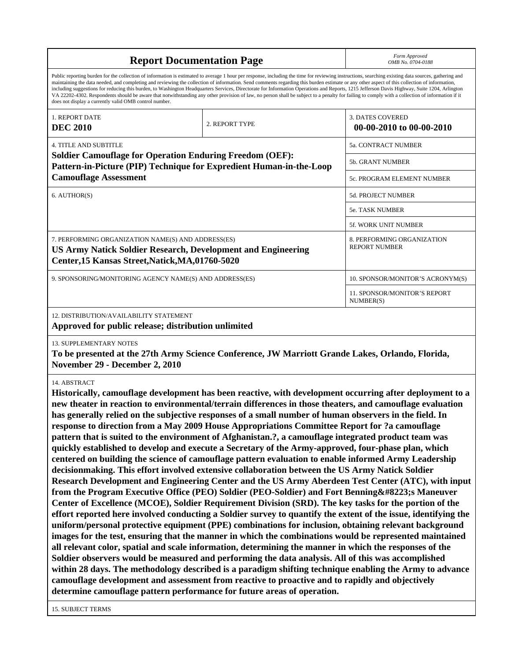| <b>Report Documentation Page</b> | Form Approved<br>OMB No. 0704-0188 |
|----------------------------------|------------------------------------|
|----------------------------------|------------------------------------|

Public reporting burden for the collection of information is estimated to average 1 hour per response, including the time for reviewing instructions, searching existing data sources, gathering and maintaining the data needed, and completing and reviewing the collection of information. Send comments regarding this burden estimate or any other aspect of this collection of information, including suggestions for reducing this burden, to Washington Headquarters Services, Directorate for Information Operations and Reports, 1215 Jefferson Davis Highway, Suite 1204, Arlington VA 22202-4302. Respondents should be aware that notwithstanding any other provision of law, no person shall be subject to a penalty for failing to comply with a collection of information if it does not display a currently valid OMB control number.

| <b>1. REPORT DATE</b><br><b>DEC 2010</b>                                                                                                                                      | 2. REPORT TYPE                                     | <b>3. DATES COVERED</b><br>00-00-2010 to 00-00-2010 |  |  |
|-------------------------------------------------------------------------------------------------------------------------------------------------------------------------------|----------------------------------------------------|-----------------------------------------------------|--|--|
| <b>4. TITLE AND SUBTITLE</b>                                                                                                                                                  |                                                    | <b>5a. CONTRACT NUMBER</b>                          |  |  |
| <b>Soldier Camouflage for Operation Enduring Freedom (OEF):</b><br>Pattern-in-Picture (PIP) Technique for Expredient Human-in-the-Loop                                        |                                                    | <b>5b. GRANT NUMBER</b>                             |  |  |
| <b>Camouflage Assessment</b>                                                                                                                                                  | 5c. PROGRAM ELEMENT NUMBER                         |                                                     |  |  |
| 6. AUTHOR(S)                                                                                                                                                                  |                                                    | <b>5d. PROJECT NUMBER</b>                           |  |  |
|                                                                                                                                                                               |                                                    | <b>5e. TASK NUMBER</b>                              |  |  |
|                                                                                                                                                                               |                                                    | <b>5f. WORK UNIT NUMBER</b>                         |  |  |
| 7. PERFORMING ORGANIZATION NAME(S) AND ADDRESS(ES)<br><b>US Army Natick Soldier Research, Development and Engineering</b><br>Center, 15 Kansas Street, Natick, MA, 01760-5020 | 8. PERFORMING ORGANIZATION<br><b>REPORT NUMBER</b> |                                                     |  |  |
| 9. SPONSORING/MONITORING AGENCY NAME(S) AND ADDRESS(ES)                                                                                                                       |                                                    | 10. SPONSOR/MONITOR'S ACRONYM(S)                    |  |  |
|                                                                                                                                                                               |                                                    | <b>11. SPONSOR/MONITOR'S REPORT</b><br>NUMBER(S)    |  |  |
|                                                                                                                                                                               |                                                    |                                                     |  |  |

12. DISTRIBUTION/AVAILABILITY STATEMENT

**Approved for public release; distribution unlimited**

## 13. SUPPLEMENTARY NOTES

**To be presented at the 27th Army Science Conference, JW Marriott Grande Lakes, Orlando, Florida, November 29 - December 2, 2010**

## 14. ABSTRACT

**Historically, camouflage development has been reactive, with development occurring after deployment to a new theater in reaction to environmental/terrain differences in those theaters, and camouflage evaluation has generally relied on the subjective responses of a small number of human observers in the field. In response to direction from a May 2009 House Appropriations Committee Report for ?a camouflage pattern that is suited to the environment of Afghanistan.?, a camouflage integrated product team was quickly established to develop and execute a Secretary of the Army-approved, four-phase plan, which centered on building the science of camouflage pattern evaluation to enable informed Army Leadership decisionmaking. This effort involved extensive collaboration between the US Army Natick Soldier Research Development and Engineering Center and the US Army Aberdeen Test Center (ATC), with input from the Program Executive Office (PEO) Soldier (PEO-Soldier) and Fort Benning " Maneuver Center of Excellence (MCOE), Soldier Requirement Division (SRD). The key tasks for the portion of the effort reported here involved conducting a Soldier survey to quantify the extent of the issue, identifying the uniform/personal protective equipment (PPE) combinations for inclusion, obtaining relevant background images for the test, ensuring that the manner in which the combinations would be represented maintained all relevant color, spatial and scale information, determining the manner in which the responses of the Soldier observers would be measured and performing the data analysis. All of this was accomplished within 28 days. The methodology described is a paradigm shifting technique enabling the Army to advance camouflage development and assessment from reactive to proactive and to rapidly and objectively determine camouflage pattern performance for future areas of operation.**

15. SUBJECT TERMS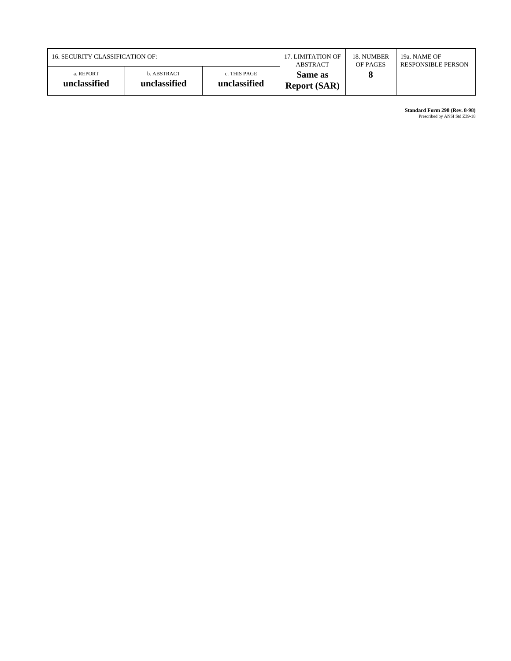| 16. SECURITY CLASSIFICATION OF: |                             |                              | 17. LIMITATION OF              | 18. NUMBER | 19a. NAME OF              |
|---------------------------------|-----------------------------|------------------------------|--------------------------------|------------|---------------------------|
|                                 |                             |                              | ABSTRACT                       | OF PAGES   | <b>RESPONSIBLE PERSON</b> |
| a. REPORT<br>unclassified       | b. ABSTRACT<br>unclassified | c. THIS PAGE<br>unclassified | Same as<br><b>Report (SAR)</b> |            |                           |

**Standard Form 298 (Rev. 8-98)**<br>Prescribed by ANSI Std Z39-18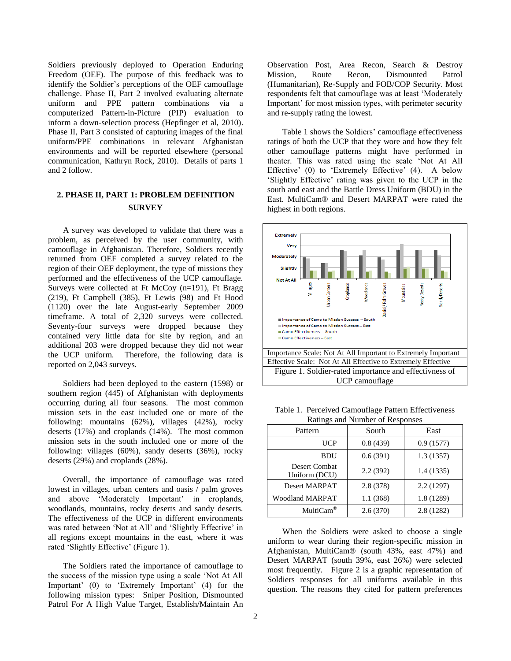Soldiers previously deployed to Operation Enduring Freedom (OEF). The purpose of this feedback was to identify the Soldier"s perceptions of the OEF camouflage challenge. Phase II, Part 2 involved evaluating alternate uniform and PPE pattern combinations via a computerized Pattern-in-Picture (PIP) evaluation to inform a down-selection process (Hepfinger et al, 2010). Phase II, Part 3 consisted of capturing images of the final uniform/PPE combinations in relevant Afghanistan environments and will be reported elsewhere (personal communication, Kathryn Rock, 2010). Details of parts 1 and 2 follow.

# **2. PHASE II, PART 1: PROBLEM DEFINITION SURVEY**

A survey was developed to validate that there was a problem, as perceived by the user community, with camouflage in Afghanistan. Therefore, Soldiers recently returned from OEF completed a survey related to the region of their OEF deployment, the type of missions they performed and the effectiveness of the UCP camouflage. Surveys were collected at Ft McCoy (n=191), Ft Bragg (219), Ft Campbell (385), Ft Lewis (98) and Ft Hood (1120) over the late August-early September 2009 timeframe. A total of 2,320 surveys were collected. Seventy-four surveys were dropped because they contained very little data for site by region, and an additional 203 were dropped because they did not wear the UCP uniform. Therefore, the following data is reported on 2,043 surveys.

Soldiers had been deployed to the eastern (1598) or southern region (445) of Afghanistan with deployments occurring during all four seasons. The most common mission sets in the east included one or more of the following: mountains (62%), villages (42%), rocky deserts (17%) and croplands (14%). The most common mission sets in the south included one or more of the following: villages (60%), sandy deserts (36%), rocky deserts (29%) and croplands (28%).

Overall, the importance of camouflage was rated lowest in villages, urban centers and oasis / palm groves and above 'Moderately Important' in croplands, woodlands, mountains, rocky deserts and sandy deserts. The effectiveness of the UCP in different environments was rated between 'Not at All' and 'Slightly Effective' in all regions except mountains in the east, where it was rated 'Slightly Effective' (Figure 1).

The Soldiers rated the importance of camouflage to the success of the mission type using a scale "Not At All Important' (0) to 'Extremely Important' (4) for the following mission types: Sniper Position, Dismounted Patrol For A High Value Target, Establish/Maintain An

Observation Post, Area Recon, Search & Destroy Mission, Route Recon, Dismounted Patrol (Humanitarian), Re-Supply and FOB/COP Security. Most respondents felt that camouflage was at least "Moderately Important' for most mission types, with perimeter security and re-supply rating the lowest.

Table 1 shows the Soldiers' camouflage effectiveness ratings of both the UCP that they wore and how they felt other camouflage patterns might have performed in theater. This was rated using the scale "Not At All Effective' (0) to 'Extremely Effective' (4). A below "Slightly Effective" rating was given to the UCP in the south and east and the Battle Dress Uniform (BDU) in the East. MultiCam® and Desert MARPAT were rated the highest in both regions.



Table 1. Perceived Camouflage Pattern Effectiveness Ratings and Number of Responses

| $\ldots$                       |          |            |  |  |
|--------------------------------|----------|------------|--|--|
| Pattern                        | South    | East       |  |  |
| <b>UCP</b>                     | 0.8(439) | 0.9(1577)  |  |  |
| <b>BDU</b>                     | 0.6(391) | 1.3(1357)  |  |  |
| Desert Combat<br>Uniform (DCU) | 2.2(392) | 1.4(1335)  |  |  |
| <b>Desert MARPAT</b>           | 2.8(378) | 2.2(1297)  |  |  |
| <b>Woodland MARPAT</b>         | 1.1(368) | 1.8 (1289) |  |  |
| MultiCam <sup>®</sup>          | 2.6(370) | 2.8(1282)  |  |  |

When the Soldiers were asked to choose a single uniform to wear during their region-specific mission in Afghanistan, MultiCam® (south 43%, east 47%) and Desert MARPAT (south 39%, east 26%) were selected most frequently. Figure 2 is a graphic representation of Soldiers responses for all uniforms available in this question. The reasons they cited for pattern preferences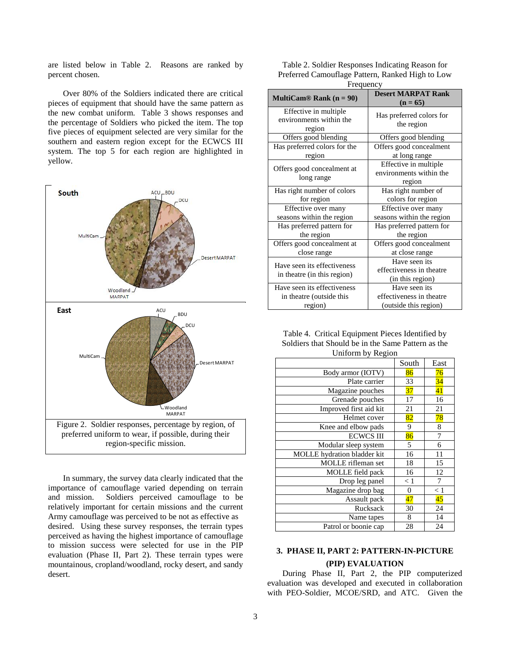are listed below in Table 2. Reasons are ranked by percent chosen.

Over 80% of the Soldiers indicated there are critical pieces of equipment that should have the same pattern as the new combat uniform. Table 3 shows responses and the percentage of Soldiers who picked the item. The top five pieces of equipment selected are very similar for the southern and eastern region except for the ECWCS III system. The top 5 for each region are highlighted in yellow.



In summary, the survey data clearly indicated that the importance of camouflage varied depending on terrain and mission. Soldiers perceived camouflage to be relatively important for certain missions and the current Army camouflage was perceived to be not as effective as desired. Using these survey responses, the terrain types perceived as having the highest importance of camouflage to mission success were selected for use in the PIP evaluation (Phase II, Part 2). These terrain types were mountainous, cropland/woodland, rocky desert, and sandy desert.

| Table 2. Soldier Responses Indicating Reason for |
|--------------------------------------------------|
| Preferred Camouflage Pattern, Ranked High to Low |
| $E$ roquanov                                     |

| Frequency                                                  |                                                               |  |  |
|------------------------------------------------------------|---------------------------------------------------------------|--|--|
| MultiCam® Rank $(n = 90)$                                  | <b>Desert MARPAT Rank</b><br>$(n = 65)$                       |  |  |
| Effective in multiple<br>environments within the<br>region | Has preferred colors for<br>the region                        |  |  |
| Offers good blending                                       | Offers good blending                                          |  |  |
| Has preferred colors for the                               | Offers good concealment                                       |  |  |
| region                                                     | at long range                                                 |  |  |
| Offers good concealment at<br>long range                   | Effective in multiple<br>environments within the<br>region    |  |  |
| Has right number of colors                                 | Has right number of                                           |  |  |
| for region                                                 | colors for region                                             |  |  |
| Effective over many                                        | Effective over many                                           |  |  |
| seasons within the region                                  | seasons within the region                                     |  |  |
| Has preferred pattern for                                  | Has preferred pattern for                                     |  |  |
| the region                                                 | the region                                                    |  |  |
| Offers good concealment at                                 | Offers good concealment                                       |  |  |
| close range                                                | at close range                                                |  |  |
| Have seen its effectiveness<br>in theatre (in this region) | Have seen its<br>effectiveness in theatre<br>(in this region) |  |  |
| Have seen its effectiveness                                | Have seen its                                                 |  |  |
| in theatre (outside this                                   | effectiveness in theatre                                      |  |  |
| region)                                                    | (outside this region)                                         |  |  |

| Table 4. Critical Equipment Pieces Identified by   |
|----------------------------------------------------|
| Soldiers that Should be in the Same Pattern as the |
| Uniform by Region                                  |

|                             | South            | East     |
|-----------------------------|------------------|----------|
| Body armor (IOTV)           | 86               | 76       |
| Plate carrier               | 33               | 34       |
| Magazine pouches            | 37               | 41       |
| Grenade pouches             | 17               | 16       |
| Improved first aid kit      | 21               | 21       |
| Helmet cover                | 82               | 78       |
| Knee and elbow pads         | 9                | 8        |
| <b>ECWCS III</b>            | 86               | 7        |
| Modular sleep system        | 5                | 6        |
| MOLLE hydration bladder kit | 16               | 11       |
| MOLLE rifleman set          | 18               | 15       |
| MOLLE field pack            | 16               | 12       |
| Drop leg panel              | < 1              | 7        |
| Magazine drop bag           | $\boldsymbol{0}$ | $\leq 1$ |
| Assault pack                | 47               | 45       |
| Rucksack                    | 30               | 24       |
| Name tapes                  | 8                | 14       |
| Patrol or boonie cap        | 28               | 24       |

# **3. PHASE II, PART 2: PATTERN-IN-PICTURE (PIP) EVALUATION**

During Phase II, Part 2, the PIP computerized evaluation was developed and executed in collaboration with PEO-Soldier, MCOE/SRD, and ATC. Given the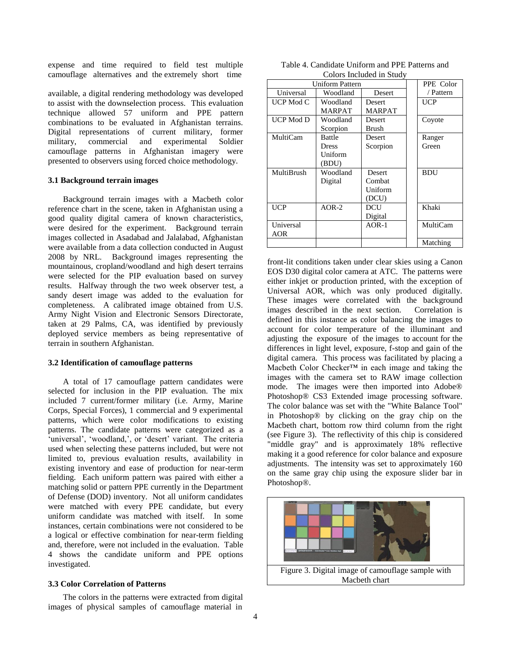expense and time required to field test multiple camouflage alternatives and the extremely short time

available, a digital rendering methodology was developed to assist with the downselection process. This evaluation technique allowed 57 uniform and PPE pattern combinations to be evaluated in Afghanistan terrains. Digital representations of current military, former military, commercial and experimental Soldier camouflage patterns in Afghanistan imagery were presented to observers using forced choice methodology.

#### **3.1 Background terrain images**

Background terrain images with a Macbeth color reference chart in the scene, taken in Afghanistan using a good quality digital camera of known characteristics, were desired for the experiment. Background terrain images collected in Asadabad and Jalalabad, Afghanistan were available from a data collection conducted in August 2008 by NRL. Background images representing the mountainous, cropland/woodland and high desert terrains were selected for the PIP evaluation based on survey results. Halfway through the two week observer test, a sandy desert image was added to the evaluation for completeness. A calibrated image obtained from U.S. Army Night Vision and Electronic Sensors Directorate, taken at 29 Palms, CA, was identified by previously deployed service members as being representative of terrain in southern Afghanistan.

#### **3.2 Identification of camouflage patterns**

A total of 17 camouflage pattern candidates were selected for inclusion in the PIP evaluation. The mix included 7 current/former military (i.e. Army, Marine Corps, Special Forces), 1 commercial and 9 experimental patterns, which were color modifications to existing patterns. The candidate patterns were categorized as a 'universal', 'woodland,', or 'desert' variant. The criteria used when selecting these patterns included, but were not limited to, previous evaluation results, availability in existing inventory and ease of production for near-term fielding. Each uniform pattern was paired with either a matching solid or pattern PPE currently in the Department of Defense (DOD) inventory. Not all uniform candidates were matched with every PPE candidate, but every uniform candidate was matched with itself. In some instances, certain combinations were not considered to be a logical or effective combination for near-term fielding and, therefore, were not included in the evaluation. Table 4 shows the candidate uniform and PPE options investigated.

#### **3.3 Color Correlation of Patterns**

The colors in the patterns were extracted from digital images of physical samples of camouflage material in

| Table 4. Candidate Uniform and PPE Patterns and |                          |  |
|-------------------------------------------------|--------------------------|--|
|                                                 | Colors Included in Study |  |

| <b>Uniform Pattern</b> |          |               | PPE Color  |  |  |  |
|------------------------|----------|---------------|------------|--|--|--|
| Universal              | Woodland | Desert        | / Pattern  |  |  |  |
| UCP Mod C              | Woodland | <b>Desert</b> | UCP        |  |  |  |
|                        | MARPAT   | MARPAT        |            |  |  |  |
| UCP Mod D              | Woodland | Desert        | Coyote     |  |  |  |
|                        | Scorpion | Brush         |            |  |  |  |
| MultiCam               | Battle   | Desert        | Ranger     |  |  |  |
|                        | Dress    | Scorpion      | Green      |  |  |  |
|                        | Uniform  |               |            |  |  |  |
|                        | (BDU)    |               |            |  |  |  |
| MultiBrush             | Woodland | <b>Desert</b> | <b>BDU</b> |  |  |  |
|                        | Digital  | Combat        |            |  |  |  |
|                        |          | Uniform       |            |  |  |  |
|                        |          | (DCU)         |            |  |  |  |
| <b>UCP</b>             | $AOR-2$  | DCU           | Khaki      |  |  |  |
|                        |          | Digital       |            |  |  |  |
| Universal              |          | $AOR-1$       | MultiCam   |  |  |  |
| <b>AOR</b>             |          |               |            |  |  |  |
|                        |          |               | Matching   |  |  |  |

front-lit conditions taken under clear skies using a Canon EOS D30 digital color camera at ATC. The patterns were either inkjet or production printed, with the exception of Universal AOR, which was only produced digitally. These images were correlated with the background images described in the next section. Correlation is defined in this instance as color balancing the images to account for color temperature of the illuminant and adjusting the exposure of the images to account for the differences in light level, exposure, f-stop and gain of the digital camera. This process was facilitated by placing a Macbeth Color Checker™ in each image and taking the images with the camera set to RAW image collection mode. The images were then imported into Adobe® Photoshop® CS3 Extended image processing software. The color balance was set with the "White Balance Tool" in Photoshop® by clicking on the gray chip on the Macbeth chart, bottom row third column from the right (see Figure 3). The reflectivity of this chip is considered "middle gray" and is approximately 18% reflective making it a good reference for color balance and exposure adjustments. The intensity was set to approximately 160 on the same gray chip using the exposure slider bar in Photoshop®.

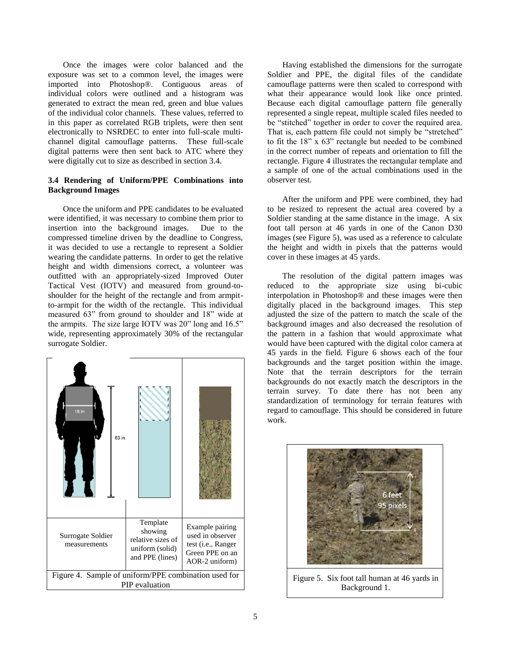Once the images were color balanced and the exposure was set to a common level, the images were imported into Photoshop®. Contiguous areas of individual colors were outlined and a histogram was generated to extract the mean red, green and blue values of the individual color channels. These values, referred to in this paper as correlated RGB triplets, were then sent electronically to NSRDEC to enter into full-scale multichannel digital camouflage patterns. These full-scale digital patterns were then sent back to ATC where they were digitally cut to size as described in section 3.4.

### **3.4 Rendering of Uniform/PPE Combinations into Background Images**

Once the uniform and PPE candidates to be evaluated were identified, it was necessary to combine them prior to insertion into the background images. Due to the compressed timeline driven by the deadline to Congress, it was decided to use a rectangle to represent a Soldier wearing the candidate patterns. In order to get the relative height and width dimensions correct, a volunteer was outfitted with an appropriately-sized Improved Outer Tactical Vest (IOTV) and measured from ground-toshoulder for the height of the rectangle and from armpitto-armpit for the width of the rectangle. This individual measured 63" from ground to shoulder and 18" wide at the armpits. The size large IOTV was 20" long and 16.5" wide, representing approximately 30% of the rectangular surrogate Soldier.



Having established the dimensions for the surrogate Soldier and PPE, the digital files of the candidate camouflage patterns were then scaled to correspond with what their appearance would look like once printed. Because each digital camouflage pattern file generally represented a single repeat, multiple scaled files needed to be "stitched" together in order to cover the required area. That is, each pattern file could not simply be "stretched" to fit the 18" x 63" rectangle but needed to be combined in the correct number of repeats and orientation to fill the rectangle. Figure 4 illustrates the rectangular template and a sample of one of the actual combinations used in the observer test.

After the uniform and PPE were combined, they had to be resized to represent the actual area covered by a Soldier standing at the same distance in the image. A six foot tall person at 46 yards in one of the Canon D30 images (see Figure 5), was used as a reference to calculate the height and width in pixels that the patterns would cover in these images at 45 yards.

The resolution of the digital pattern images was reduced to the appropriate size using bi-cubic interpolation in Photoshop® and these images were then digitally placed in the background images. This step adjusted the size of the pattern to match the scale of the background images and also decreased the resolution of the pattern in a fashion that would approximate what would have been captured with the digital color camera at 45 yards in the field. Figure 6 shows each of the four backgrounds and the target position within the image. Note that the terrain descriptors for the terrain backgrounds do not exactly match the descriptors in the terrain survey. To date there has not been any standardization of terminology for terrain features with regard to camouflage. This should be considered in future work.

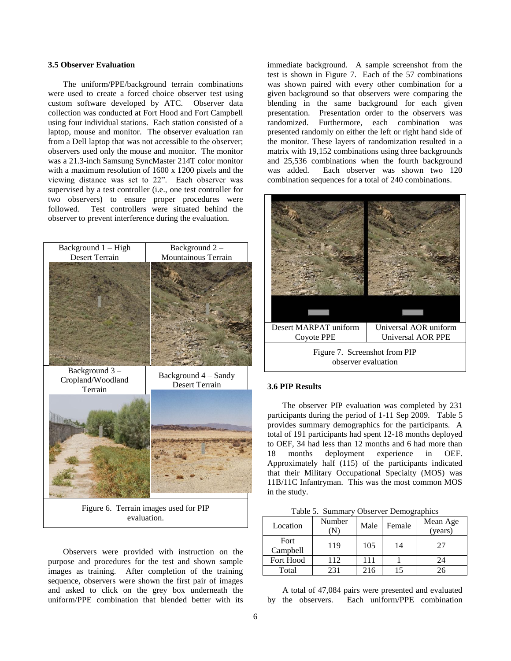### **3.5 Observer Evaluation**

The uniform/PPE/background terrain combinations were used to create a forced choice observer test using custom software developed by ATC. Observer data collection was conducted at Fort Hood and Fort Campbell using four individual stations. Each station consisted of a laptop, mouse and monitor. The observer evaluation ran from a Dell laptop that was not accessible to the observer; observers used only the mouse and monitor. The monitor was a 21.3-inch Samsung SyncMaster 214T color monitor with a maximum resolution of 1600 x 1200 pixels and the viewing distance was set to 22". Each observer was supervised by a test controller (i.e., one test controller for two observers) to ensure proper procedures were followed. Test controllers were situated behind the observer to prevent interference during the evaluation.



Observers were provided with instruction on the purpose and procedures for the test and shown sample images as training. After completion of the training sequence, observers were shown the first pair of images and asked to click on the grey box underneath the uniform/PPE combination that blended better with its

immediate background. A sample screenshot from the test is shown in Figure 7. Each of the 57 combinations was shown paired with every other combination for a given background so that observers were comparing the blending in the same background for each given presentation. Presentation order to the observers was randomized. Furthermore, each combination was presented randomly on either the left or right hand side of the monitor. These layers of randomization resulted in a matrix with 19,152 combinations using three backgrounds and 25,536 combinations when the fourth background was added. Each observer was shown two 120 combination sequences for a total of 240 combinations.



### **3.6 PIP Results**

The observer PIP evaluation was completed by 231 participants during the period of 1-11 Sep 2009. Table 5 provides summary demographics for the participants. A total of 191 participants had spent 12-18 months deployed to OEF, 34 had less than 12 months and 6 had more than 18 months deployment experience in OEF. Approximately half (115) of the participants indicated that their Military Occupational Specialty (MOS) was 11B/11C Infantryman. This was the most common MOS in the study.

Table 5. Summary Observer Demographics

| Location                | Number | Male | Female | Mean Age<br>(years) |
|-------------------------|--------|------|--------|---------------------|
| <b>Fort</b><br>Campbell | 119    | 105  | 14     | 27                  |
| Fort Hood               | 112    | 111  |        | 24                  |
| Total                   | 231    | 216  | 15     |                     |

A total of 47,084 pairs were presented and evaluated by the observers. Each uniform/PPE combination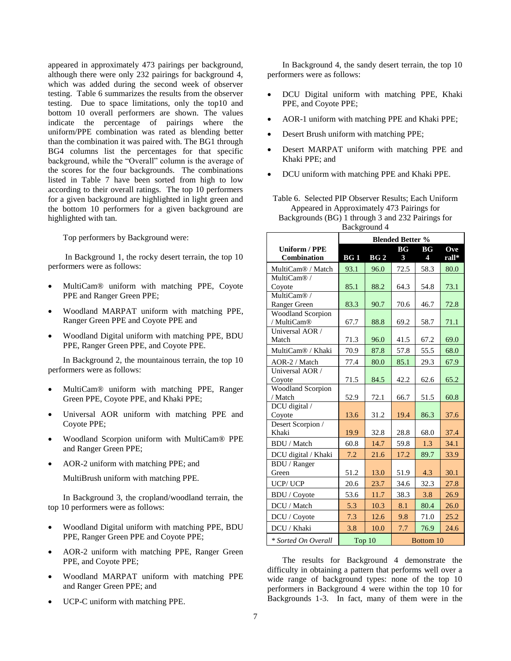appeared in approximately 473 pairings per background, although there were only 232 pairings for background 4, which was added during the second week of observer testing. Table 6 summarizes the results from the observer testing. Due to space limitations, only the top10 and bottom 10 overall performers are shown. The values indicate the percentage of pairings where the uniform/PPE combination was rated as blending better than the combination it was paired with. The BG1 through BG4 columns list the percentages for that specific background, while the "Overall" column is the average of the scores for the four backgrounds. The combinations listed in Table 7 have been sorted from high to low according to their overall ratings. The top 10 performers for a given background are highlighted in light green and the bottom 10 performers for a given background are highlighted with tan.

Top performers by Background were:

In Background 1, the rocky desert terrain, the top 10 performers were as follows:

- MultiCam® uniform with matching PPE, Coyote PPE and Ranger Green PPE;
- Woodland MARPAT uniform with matching PPE, Ranger Green PPE and Coyote PPE and
- Woodland Digital uniform with matching PPE, BDU PPE, Ranger Green PPE, and Coyote PPE.

In Background 2, the mountainous terrain, the top 10 performers were as follows:

- MultiCam® uniform with matching PPE, Ranger Green PPE, Coyote PPE, and Khaki PPE;
- Universal AOR uniform with matching PPE and Coyote PPE;
- Woodland Scorpion uniform with MultiCam® PPE and Ranger Green PPE;
- AOR-2 uniform with matching PPE; and

MultiBrush uniform with matching PPE.

In Background 3, the cropland/woodland terrain, the top 10 performers were as follows:

- Woodland Digital uniform with matching PPE, BDU PPE, Ranger Green PPE and Coyote PPE;
- AOR-2 uniform with matching PPE, Ranger Green PPE, and Coyote PPE;
- Woodland MARPAT uniform with matching PPE and Ranger Green PPE; and
- UCP-C uniform with matching PPE.

In Background 4, the sandy desert terrain, the top 10 performers were as follows:

- DCU Digital uniform with matching PPE, Khaki PPE, and Coyote PPE;
- AOR-1 uniform with matching PPE and Khaki PPE;
- Desert Brush uniform with matching PPE;
- Desert MARPAT uniform with matching PPE and Khaki PPE; and
- DCU uniform with matching PPE and Khaki PPE.

Table 6. Selected PIP Observer Results; Each Uniform Appeared in Approximately 473 Pairings for Backgrounds (BG) 1 through 3 and 232 Pairings for Background 4

|                               | <b>Blended Better %</b> |                 |                 |                 |       |
|-------------------------------|-------------------------|-----------------|-----------------|-----------------|-------|
| <b>Uniform / PPE</b>          |                         |                 | BG <sub>r</sub> | BG <sub>r</sub> | Ove   |
| Combination                   | BG <sub>1</sub>         | BG <sub>2</sub> | 3               | 4               | rall* |
| MultiCam <sup>®</sup> / Match | 93.1                    | 96.0            | 72.5            | 58.3            | 80.0  |
| MultiCam® /                   |                         |                 |                 |                 |       |
| Coyote                        | 85.1                    | 88.2            | 64.3            | 54.8            | 73.1  |
| MultiCam®/                    |                         |                 |                 |                 |       |
| Ranger Green                  | 83.3                    | 90.7            | 70.6            | 46.7            | 72.8  |
| <b>Woodland Scorpion</b>      |                         |                 |                 |                 |       |
| / MultiCam®                   | 67.7                    | 88.8            | 69.2            | 58.7            | 71.1  |
| Universal AOR /               |                         |                 |                 |                 |       |
| Match                         | 71.3                    | 96.0            | 41.5            | 67.2            | 69.0  |
| MultiCam <sup>®</sup> / Khaki | 70.9                    | 87.8            | 57.8            | 55.5            | 68.0  |
| AOR-2 / Match                 | 77.4                    | 80.0            | 85.1            | 29.3            | 67.9  |
| Universal AOR /               |                         |                 |                 |                 |       |
| Coyote                        | 71.5                    | 84.5            | 42.2            | 62.6            | 65.2  |
| Woodland Scorpion             |                         |                 |                 |                 |       |
| / Match                       | 52.9                    | 72.1            | 66.7            | 51.5            | 60.8  |
| DCU digital /                 |                         |                 |                 |                 |       |
| Coyote                        | 13.6                    | 31.2            | 19.4            | 86.3            | 37.6  |
| Desert Scorpion /             |                         |                 |                 |                 |       |
| Khaki                         | 19.9                    | 32.8            | 28.8            | 68.0            | 37.4  |
| <b>BDU</b> / Match            | 60.8                    | 14.7            | 59.8            | 1.3             | 34.1  |
| DCU digital / Khaki           | 7.2                     | 21.6            | 17.2            | 89.7            | 33.9  |
| <b>BDU</b> / Ranger           |                         |                 |                 |                 |       |
| Green                         | 51.2                    | 13.0            | 51.9            | 4.3             | 30.1  |
| <b>UCP/UCP</b>                | 20.6                    | 23.7            | 34.6            | 32.3            | 27.8  |
| <b>BDU</b> / Coyote           | 53.6                    | 11.7            | 38.3            | 3.8             | 26.9  |
| DCU / Match                   | 5.3                     | 10.3            | 8.1             | 80.4            | 26.0  |
| DCU / Coyote                  | 7.3                     | 12.6            | 9.8             | 71.0            | 25.2  |
| DCU / Khaki                   | 3.8                     | 10.0            | 7.7             | 76.9            | 24.6  |
| * Sorted On Overall           | Top 10<br>Bottom 10     |                 |                 |                 |       |

The results for Background 4 demonstrate the difficulty in obtaining a pattern that performs well over a wide range of background types: none of the top 10 performers in Background 4 were within the top 10 for Backgrounds 1-3. In fact, many of them were in the